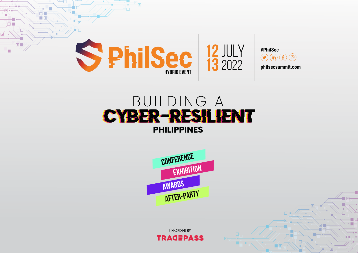

## BUILDING A CYBER-RESILIENT **PHILIPPINES**



Organised by **TRAGEPASS**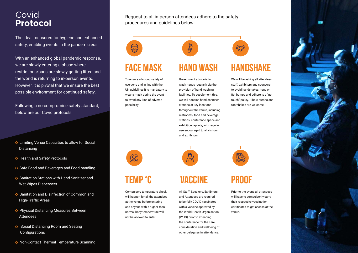#### Covid **Protocol**

The ideal measures for hygiene and enhanced safety, enabling events in the pandemic era.

With an enhanced global pandemic response, we are slowly entering a phase where restrictions/bans are slowly getting lifted and the world is returning to in-person events. However, it is pivotal that we ensure the best possible environment for continued safety.

Following a no-compromise safety standard, below are our Covid protocols:

- **O** Limiting Venue Capacities to allow for Social Distancing
- **O** Health and Safety Protocols
- O Safe Food and Beverages and Food-handling
- **O** Sanitation Stations with Hand Sanitizer and Wet Wipes Dispensers
- **O** Sanitation and Disinfection of Common and High-Traffic Areas
- **O** Physical Distancing Measures Between Attendees
- **O** Social Distancing Room and Seating **Configurations**
- **O** Non-Contact Thermal Temperature Scanning

Request to all in-person attendees adhere to the safety procedures and guidelines below:



## **FACE MASK**

To ensure all-round safety of everyone and in line with the UN guidelines it is mandatory to wear a mask during the event to avoid any kind of adverse possibility.



#### Government advice is to wash hands regularly via the provision of hand washing facilities. To supplement this, we will position hand sanitiser stations at key locations throughout the venue, including restrooms, food and beverage stations, conference space and exhibition layouts, with regular use encouraged to all visitors and exhibitors.



### **TEMP °C**

 $\geq$ 

Compulsory temperature check will happen for all the attendees at the venue before entering and anyone with a higher-thannormal body temperature will not be allowed to enter.

#### **VACCINE**

All Staff, Speakers, Exhibitors and Attendees are required to be fully COVID vaccinated with a vaccine approved by the World Health Organisation (WHO) prior to attending the conference for the care, consideration and wellbeing of other delegates in attendance.



Prior to the event, all attendees will have to compulsorily carry their respective vaccination certificates to get access at the venue.



We will be asking all attendees, staff, exhibitors and sponsors to avoid handshakes, hugs or fist bumps and adhere to a "no touch" policy. Elbow-bumps and footshakes are welcome.